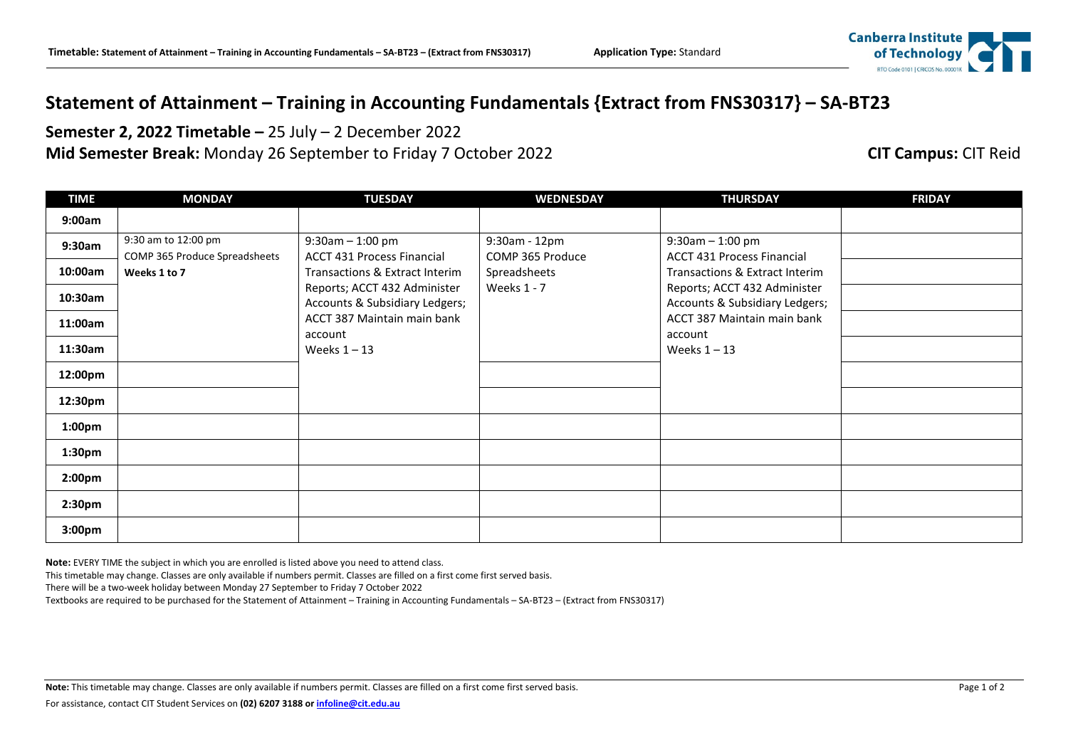## Canberra Institute

## **Statement of Attainment – Training in Accounting Fundamentals {Extract from FNS30317} – SA-BT23**

**Semester 2, 2022 Timetable –** 25 July – 2 December 2022 **Mid Semester Break:** Monday 26 September to Friday 7 October 2022 **CIT Campus:** CIT Reid

| <b>TIME</b>        | <b>MONDAY</b>                                        | <b>TUESDAY</b>                                                      | <b>WEDNESDAY</b>                 | <b>THURSDAY</b>                                                     | <b>FRIDAY</b> |
|--------------------|------------------------------------------------------|---------------------------------------------------------------------|----------------------------------|---------------------------------------------------------------------|---------------|
| 9:00am             |                                                      |                                                                     |                                  |                                                                     |               |
| 9:30am             | 9:30 am to 12:00 pm<br>COMP 365 Produce Spreadsheets | $9:30$ am $-1:00$ pm                                                | 9:30am - 12pm                    | $9:30$ am $-1:00$ pm                                                |               |
| 10:00am            | Weeks 1 to 7                                         | <b>ACCT 431 Process Financial</b><br>Transactions & Extract Interim | COMP 365 Produce<br>Spreadsheets | <b>ACCT 431 Process Financial</b><br>Transactions & Extract Interim |               |
| 10:30am            |                                                      | Reports; ACCT 432 Administer<br>Accounts & Subsidiary Ledgers;      | Weeks 1 - 7                      | Reports; ACCT 432 Administer<br>Accounts & Subsidiary Ledgers;      |               |
| 11:00am            |                                                      | ACCT 387 Maintain main bank<br>account                              |                                  | ACCT 387 Maintain main bank<br>account                              |               |
| 11:30am            |                                                      | Weeks $1 - 13$                                                      |                                  | Weeks $1 - 13$                                                      |               |
| 12:00pm            |                                                      |                                                                     |                                  |                                                                     |               |
| 12:30pm            |                                                      |                                                                     |                                  |                                                                     |               |
| 1:00 <sub>pm</sub> |                                                      |                                                                     |                                  |                                                                     |               |
| 1:30 <sub>pm</sub> |                                                      |                                                                     |                                  |                                                                     |               |
| 2:00 <sub>pm</sub> |                                                      |                                                                     |                                  |                                                                     |               |
| 2:30 <sub>pm</sub> |                                                      |                                                                     |                                  |                                                                     |               |
| 3:00 <sub>pm</sub> |                                                      |                                                                     |                                  |                                                                     |               |

**Note:** EVERY TIME the subject in which you are enrolled is listed above you need to attend class.

This timetable may change. Classes are only available if numbers permit. Classes are filled on a first come first served basis.

There will be a two-week holiday between Monday 27 September to Friday 7 October 2022

Textbooks are required to be purchased for the Statement of Attainment – Training in Accounting Fundamentals – SA-BT23 – (Extract from FNS30317)

Note: This timetable may change. Classes are only available if numbers permit. Classes are filled on a first come first served basis. Page 1 of 2